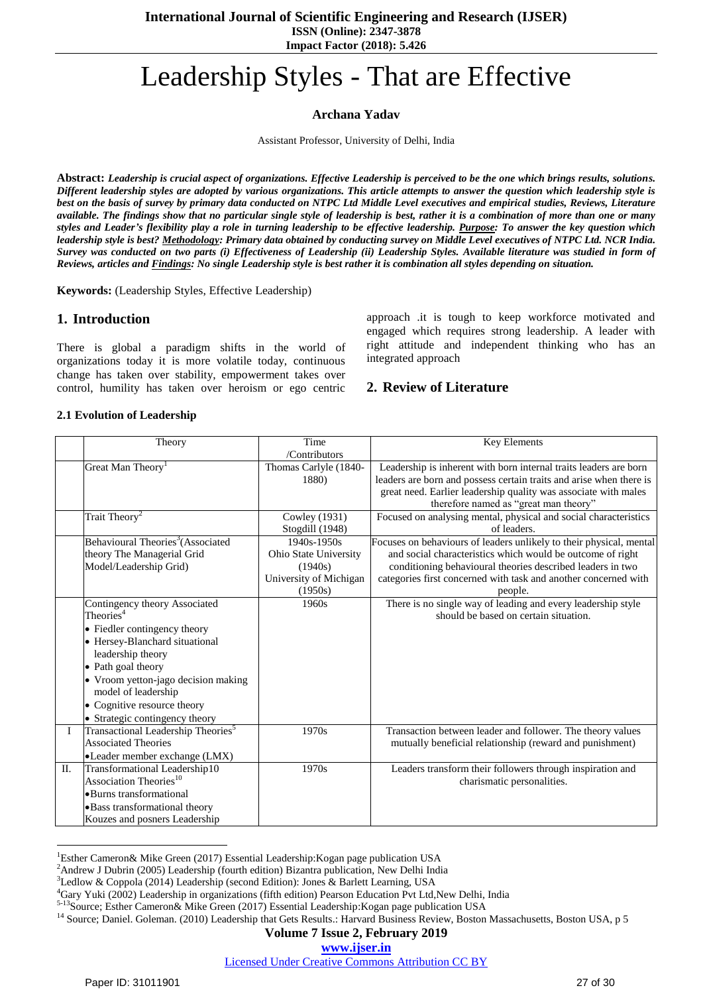# Leadership Styles - That are Effective

**Archana Yadav**

Assistant Professor, University of Delhi, India

**Abstract:** *Leadership is crucial aspect of organizations. Effective Leadership is perceived to be the one which brings results, solutions. Different leadership styles are adopted by various organizations. This article attempts to answer the question which leadership style is best on the basis of survey by primary data conducted on NTPC Ltd Middle Level executives and empirical studies, Reviews, Literature available. The findings show that no particular single style of leadership is best, rather it is a combination of more than one or many styles and Leader's flexibility play a role in turning leadership to be effective leadership. Purpose: To answer the key question which leadership style is best? Methodology: Primary data obtained by conducting survey on Middle Level executives of NTPC Ltd. NCR India. Survey was conducted on two parts (i) Effectiveness of Leadership (ii) Leadership Styles. Available literature was studied in form of Reviews, articles and Findings: No single Leadership style is best rather it is combination all styles depending on situation.*

**Keywords:** (Leadership Styles, Effective Leadership)

# **1. Introduction**

There is global a paradigm shifts in the world of organizations today it is more volatile today, continuous change has taken over stability, empowerment takes over control, humility has taken over heroism or ego centric approach .it is tough to keep workforce motivated and engaged which requires strong leadership. A leader with right attitude and independent thinking who has an integrated approach

# **2. Review of Literature**

### **2.1 Evolution of Leadership**

|     | Theory                                                                                                                                                                                                                                                                                             | Time<br>/Contributors                                                                    | <b>Key Elements</b>                                                                                                                                                                                                                                                           |
|-----|----------------------------------------------------------------------------------------------------------------------------------------------------------------------------------------------------------------------------------------------------------------------------------------------------|------------------------------------------------------------------------------------------|-------------------------------------------------------------------------------------------------------------------------------------------------------------------------------------------------------------------------------------------------------------------------------|
|     | Great Man Theory <sup>1</sup>                                                                                                                                                                                                                                                                      | Thomas Carlyle (1840-<br>1880)                                                           | Leadership is inherent with born internal traits leaders are born<br>leaders are born and possess certain traits and arise when there is<br>great need. Earlier leadership quality was associate with males<br>therefore named as "great man theory"                          |
|     | Trait Theory <sup>2</sup>                                                                                                                                                                                                                                                                          | Cowley (1931)<br>Stogdill (1948)                                                         | Focused on analysing mental, physical and social characteristics<br>of leaders.                                                                                                                                                                                               |
|     | Behavioural Theories <sup>3</sup> (Associated<br>theory The Managerial Grid<br>Model/Leadership Grid)                                                                                                                                                                                              | $1940s - 1950s$<br>Ohio State University<br>(1940s)<br>University of Michigan<br>(1950s) | Focuses on behaviours of leaders unlikely to their physical, mental<br>and social characteristics which would be outcome of right<br>conditioning behavioural theories described leaders in two<br>categories first concerned with task and another concerned with<br>people. |
|     | Contingency theory Associated<br>Theories <sup>4</sup><br>• Fiedler contingency theory<br>• Hersey-Blanchard situational<br>leadership theory<br>• Path goal theory<br>• Vroom yetton-jago decision making<br>model of leadership<br>• Cognitive resource theory<br>• Strategic contingency theory | 1960s                                                                                    | There is no single way of leading and every leadership style<br>should be based on certain situation.                                                                                                                                                                         |
|     | Transactional Leadership Theories <sup>5</sup><br><b>Associated Theories</b><br>•Leader member exchange (LMX)                                                                                                                                                                                      | 1970s                                                                                    | Transaction between leader and follower. The theory values<br>mutually beneficial relationship (reward and punishment)                                                                                                                                                        |
| II. | Transformational Leadership10<br>Association Theories <sup>10</sup><br>• Burns transformational<br>· Bass transformational theory<br>Kouzes and posners Leadership                                                                                                                                 | 1970s                                                                                    | Leaders transform their followers through inspiration and<br>charismatic personalities.                                                                                                                                                                                       |

<sup>1</sup>Esther Cameron& Mike Green (2017) Essential Leadership:Kogan page publication USA

### **Volume 7 Issue 2, February 2019**

Licensed Under Creative Commons Attribution CC BY

 $\overline{a}$ 

<sup>&</sup>lt;sup>2</sup>Andrew J Dubrin (2005) Leadership (fourth edition) Bizantra publication, New Delhi India

<sup>3</sup>Ledlow & Coppola (2014) Leadership (second Edition): Jones & Barlett Learning, USA

<sup>4</sup>Gary Yuki (2002) Leadership in organizations (fifth edition) Pearson Education Pvt Ltd,New Delhi, India

<sup>5-13</sup>Source; Esther Cameron& Mike Green (2017) Essential Leadership:Kogan page publication USA

<sup>&</sup>lt;sup>14</sup> Source; Daniel. Goleman. (2010) Leadership that Gets Results.: Harvard Business Review, Boston Massachusetts, Boston USA, p 5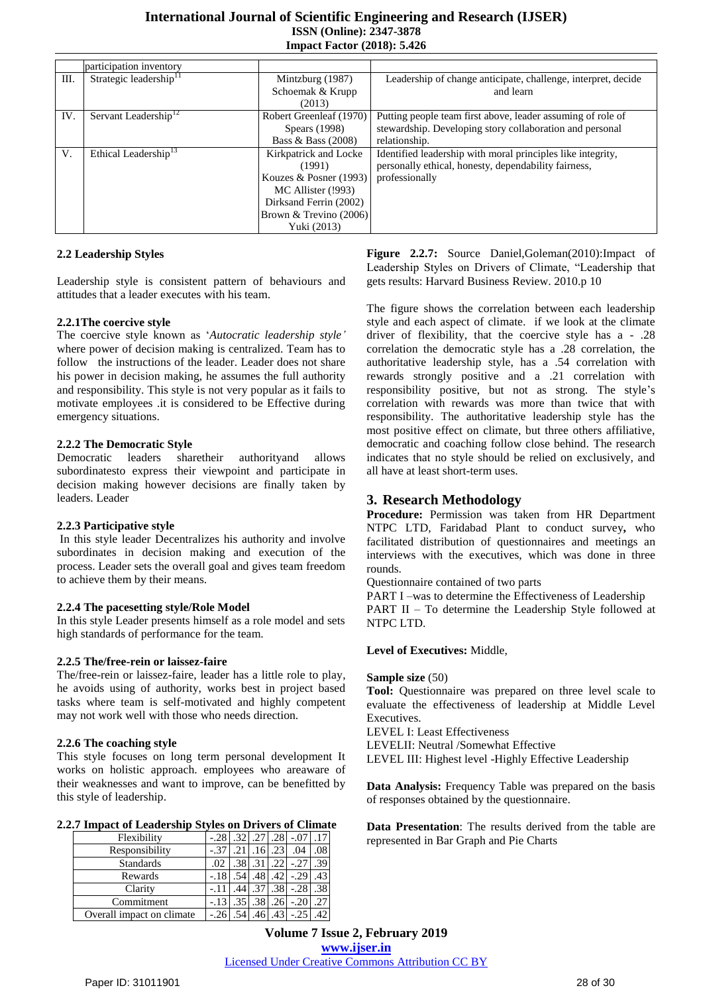|      | participation inventory            |                          |                                                               |
|------|------------------------------------|--------------------------|---------------------------------------------------------------|
| III. | Strategic leadership <sup>11</sup> | Mintzburg (1987)         | Leadership of change anticipate, challenge, interpret, decide |
|      |                                    | Schoemak & Krupp         | and learn                                                     |
|      |                                    | (2013)                   |                                                               |
| IV.  | Servant Leadership <sup>12</sup>   | Robert Greenleaf (1970)  | Putting people team first above, leader assuming of role of   |
|      |                                    | Spears (1998)            | stewardship. Developing story collaboration and personal      |
|      |                                    | Bass & Bass $(2008)$     | relationship.                                                 |
| V.   | Ethical Leadership <sup>13</sup>   | Kirkpatrick and Locke    | Identified leadership with moral principles like integrity,   |
|      |                                    | (1991)                   | personally ethical, honesty, dependability fairness,          |
|      |                                    | Kouzes & Posner $(1993)$ | professionally                                                |
|      |                                    | MC Allister (!993)       |                                                               |
|      |                                    | Dirksand Ferrin (2002)   |                                                               |
|      |                                    | Brown & Trevino (2006)   |                                                               |
|      |                                    | Yuki (2013)              |                                                               |

## **2.2 Leadership Styles**

Leadership style is consistent pattern of behaviours and attitudes that a leader executes with his team.

### **2.2.1The coercive style**

The coercive style known as "*Autocratic leadership style'* where power of decision making is centralized. Team has to follow the instructions of the leader. Leader does not share his power in decision making, he assumes the full authority and responsibility. This style is not very popular as it fails to motivate employees .it is considered to be Effective during emergency situations.

### **2.2.2 The Democratic Style**

Democratic leaders sharetheir authorityand allows subordinatesto express their viewpoint and participate in decision making however decisions are finally taken by leaders. Leader

### **2.2.3 Participative style**

In this style leader Decentralizes his authority and involve subordinates in decision making and execution of the process. Leader sets the overall goal and gives team freedom to achieve them by their means.

### **2.2.4 The pacesetting style/Role Model**

In this style Leader presents himself as a role model and sets high standards of performance for the team.

#### **2.2.5 The/free-rein or laissez-faire**

The/free-rein or laissez-faire, leader has a little role to play, he avoids using of authority, works best in project based tasks where team is self-motivated and highly competent may not work well with those who needs direction.

### **2.2.6 The coaching style**

This style focuses on long term personal development It works on holistic approach. employees who areaware of their weaknesses and want to improve, can be benefitted by this style of leadership.

#### **2.2.7 Impact of Leadership Styles on Drivers of Climate**

| Flexibility               |        | .32 <sub>l</sub> | .28 |     |  |
|---------------------------|--------|------------------|-----|-----|--|
| Responsibility            |        |                  |     | .04 |  |
| <b>Standards</b>          | .02    |                  |     |     |  |
| Rewards                   |        |                  |     |     |  |
| Clarity                   |        |                  |     | .28 |  |
| Commitment                | $-.13$ |                  |     |     |  |
| Overall impact on climate |        |                  |     |     |  |

**Figure 2.2.7:** Source Daniel,Goleman(2010):Impact of Leadership Styles on Drivers of Climate, "Leadership that gets results: Harvard Business Review. 2010.p 10

The figure shows the correlation between each leadership style and each aspect of climate. if we look at the climate driver of flexibility, that the coercive style has a - .28 correlation the democratic style has a .28 correlation, the authoritative leadership style, has a .54 correlation with rewards strongly positive and a .21 correlation with responsibility positive, but not as strong. The style"s correlation with rewards was more than twice that with responsibility. The authoritative leadership style has the most positive effect on climate, but three others affiliative, democratic and coaching follow close behind. The research indicates that no style should be relied on exclusively, and all have at least short-term uses.

# **3. Research Methodology**

**Procedure:** Permission was taken from HR Department NTPC LTD, Faridabad Plant to conduct survey**,** who facilitated distribution of questionnaires and meetings an interviews with the executives, which was done in three rounds.

Questionnaire contained of two parts

PART I –was to determine the Effectiveness of Leadership PART II – To determine the Leadership Style followed at

NTPC LTD.

### **Level of Executives:** Middle,

#### **Sample size** (50)

**Tool:** Questionnaire was prepared on three level scale to evaluate the effectiveness of leadership at Middle Level Executives.

LEVEL I: Least Effectiveness

LEVELII: Neutral /Somewhat Effective

LEVEL III: Highest level -Highly Effective Leadership

**Data Analysis:** Frequency Table was prepared on the basis of responses obtained by the questionnaire.

**Data Presentation**: The results derived from the table are represented in Bar Graph and Pie Charts

**Volume 7 Issue 2, February 2019 www.ijser.in** Licensed Under Creative Commons Attribution CC BY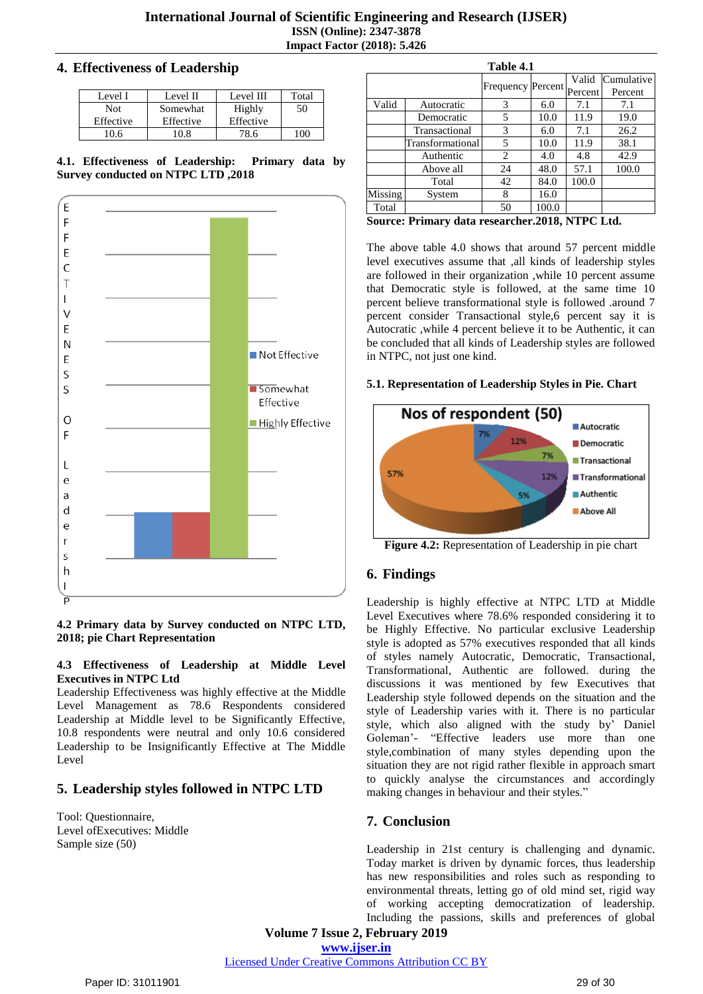# **4. Effectiveness of Leadership**

| Level I    | Level II  | Level III | Total |
|------------|-----------|-----------|-------|
| <b>Not</b> | Somewhat  | Highly    | 50    |
| Effective  | Effective | Effective |       |
| 06         | 10 R      |           |       |

**4.1. Effectiveness of Leadership: Primary data by Survey conducted on NTPC LTD ,2018**



**4.2 Primary data by Survey conducted on NTPC LTD, 2018; pie Chart Representation**

### **4.3 Effectiveness of Leadership at Middle Level Executives in NTPC Ltd**

Leadership Effectiveness was highly effective at the Middle Level Management as 78.6 Respondents considered Leadership at Middle level to be Significantly Effective, 10.8 respondents were neutral and only 10.6 considered Leadership to be Insignificantly Effective at The Middle Level

# **5. Leadership styles followed in NTPC LTD**

Tool: Questionnaire, Level ofExecutives: Middle Sample size (50)

|         |                              | Table 4.1 |                          |                      |            |
|---------|------------------------------|-----------|--------------------------|----------------------|------------|
|         |                              |           | <b>Frequency Percent</b> | Valid                | Cumulative |
|         |                              |           |                          | Percent              | Percent    |
| Valid   | Autocratic                   | 3         | 6.0                      | 7.1                  | 7.1        |
|         | Democratic                   | 5         | 10.0                     | 11.9                 | 19.0       |
|         | Transactional                | 3         | 6.0                      | 7.1                  | 26.2       |
|         | Transformational             | 5         | 10.0                     | 11.9                 | 38.1       |
|         | Authentic                    | 2         | 4.0                      | 4.8                  | 42.9       |
|         | Above all                    | 24        | 48.0                     | 57.1                 | 100.0      |
|         | Total                        | 42        | 84.0                     | 100.0                |            |
| Missing | System                       | 8         | 16.0                     |                      |            |
| Total   |                              | 50        | 100.0                    |                      |            |
| $\sim$  | $\mathbf{r}$<br>$\mathbf{r}$ | п         |                          | $AA$ 40 $MB$ $A$ $T$ |            |

**Source: Primary data researcher.2018, NTPC Ltd.**

The above table 4.0 shows that around 57 percent middle level executives assume that ,all kinds of leadership styles are followed in their organization ,while 10 percent assume that Democratic style is followed, at the same time 10 percent believe transformational style is followed .around 7 percent consider Transactional style,6 percent say it is Autocratic ,while 4 percent believe it to be Authentic, it can be concluded that all kinds of Leadership styles are followed in NTPC, not just one kind.

# **5.1. Representation of Leadership Styles in Pie. Chart**



**Figure 4.2:** Representation of Leadership in pie chart

# **6. Findings**

Leadership is highly effective at NTPC LTD at Middle Level Executives where 78.6% responded considering it to be Highly Effective. No particular exclusive Leadership style is adopted as 57% executives responded that all kinds of styles namely Autocratic, Democratic, Transactional, Transformational, Authentic are followed. during the discussions it was mentioned by few Executives that Leadership style followed depends on the situation and the style of Leadership varies with it. There is no particular style, which also aligned with the study by" Daniel Goleman"- "Effective leaders use more than one style,combination of many styles depending upon the situation they are not rigid rather flexible in approach smart to quickly analyse the circumstances and accordingly making changes in behaviour and their styles."

# **7. Conclusion**

Leadership in 21st century is challenging and dynamic. Today market is driven by dynamic forces, thus leadership has new responsibilities and roles such as responding to environmental threats, letting go of old mind set, rigid way of working accepting democratization of leadership. Including the passions, skills and preferences of global

**Volume 7 Issue 2, February 2019**

**www.ijser.in**

Licensed Under Creative Commons Attribution CC BY